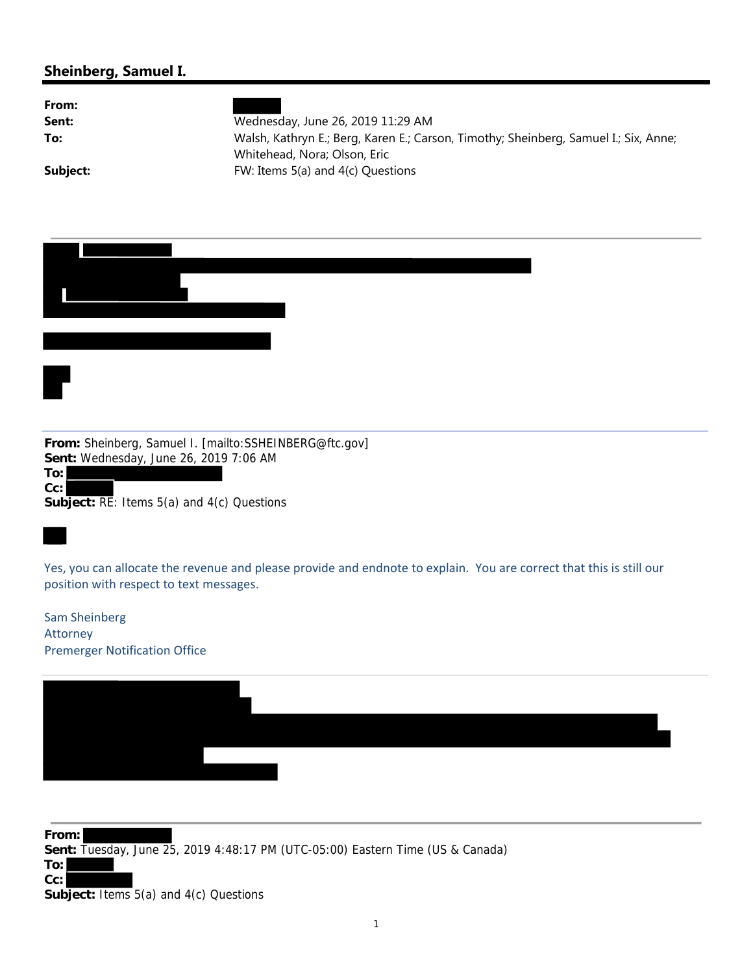## **Sheinberg, Samuel I.**

| From:    |                                                                                                                      |
|----------|----------------------------------------------------------------------------------------------------------------------|
| Sent:    | Wednesday, June 26, 2019 11:29 AM                                                                                    |
| To:      | Walsh, Kathryn E.; Berg, Karen E.; Carson, Timothy; Sheinberg, Samuel I.; Six, Anne;<br>Whitehead, Nora; Olson, Eric |
| Subject: | FW: Items 5(a) and 4(c) Questions                                                                                    |

| From: Sheinberg, Samuel I. [mailto:SSHEINBERG@ftc.gov]                                                                                                         |
|----------------------------------------------------------------------------------------------------------------------------------------------------------------|
| Sent: Wednesday, June 26, 2019 7:06 AM<br>To:<br>Cc:<br>Subject: RE: Items 5(a) and 4(c) Questions                                                             |
|                                                                                                                                                                |
| Yes, you can allocate the revenue and please provide and endnote to explain. You are correct that this is still our<br>position with respect to text messages. |
| <b>Sam Sheinberg</b><br>Attorney                                                                                                                               |
| <b>Premerger Notification Office</b>                                                                                                                           |

**From: Sent:** Tuesday, June 25, 2019 4:48:17 PM (UTC-05:00) Eastern Time (US & Canada) **To: Cc:**

**Subject:** Items 5(a) and 4(c) Questions